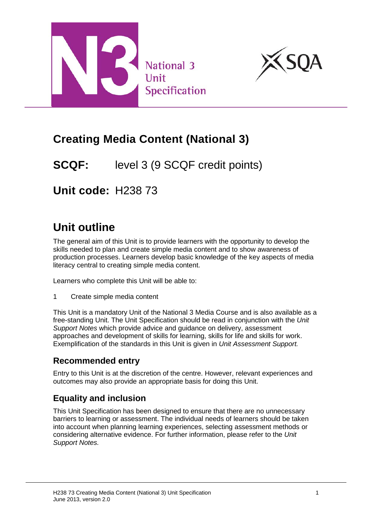



# **Creating Media Content (National 3)**

## **SCQF:** level 3 (9 SCQF credit points)

**Unit code:** H238 73

# **Unit outline**

The general aim of this Unit is to provide learners with the opportunity to develop the skills needed to plan and create simple media content and to show awareness of production processes. Learners develop basic knowledge of the key aspects of media literacy central to creating simple media content.

Learners who complete this Unit will be able to:

1 Create simple media content

This Unit is a mandatory Unit of the National 3 Media Course and is also available as a free-standing Unit. The Unit Specification should be read in conjunction with the *Unit Support Notes* which provide advice and guidance on delivery, assessment approaches and development of skills for learning, skills for life and skills for work. Exemplification of the standards in this Unit is given in *Unit Assessment Support.* 

### **Recommended entry**

Entry to this Unit is at the discretion of the centre. However, relevant experiences and outcomes may also provide an appropriate basis for doing this Unit.

### **Equality and inclusion**

This Unit Specification has been designed to ensure that there are no unnecessary barriers to learning or assessment. The individual needs of learners should be taken into account when planning learning experiences, selecting assessment methods or considering alternative evidence. For further information, please refer to the *Unit Support Notes.*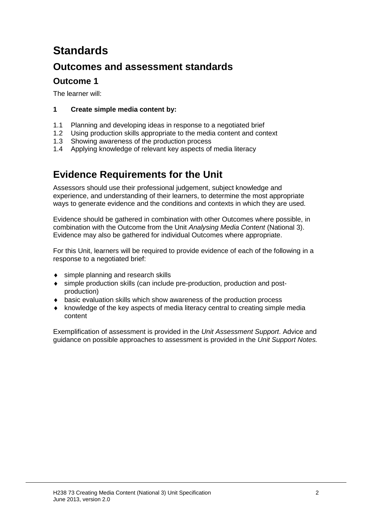# **Standards**

## **Outcomes and assessment standards**

### **Outcome 1**

The learner will:

#### **1 Create simple media content by:**

- 1.1 Planning and developing ideas in response to a negotiated brief
- 1.2 Using production skills appropriate to the media content and context
- 1.3 Showing awareness of the production process
- 1.4 Applying knowledge of relevant key aspects of media literacy

## **Evidence Requirements for the Unit**

Assessors should use their professional judgement, subject knowledge and experience, and understanding of their learners, to determine the most appropriate ways to generate evidence and the conditions and contexts in which they are used.

Evidence should be gathered in combination with other Outcomes where possible, in combination with the Outcome from the Unit *Analysing Media Content* (National 3). Evidence may also be gathered for individual Outcomes where appropriate.

For this Unit, learners will be required to provide evidence of each of the following in a response to a negotiated brief:

- ♦ simple planning and research skills
- ♦ simple production skills (can include pre-production, production and postproduction)
- ♦ basic evaluation skills which show awareness of the production process
- ♦ knowledge of the key aspects of media literacy central to creating simple media content

Exemplification of assessment is provided in the *Unit Assessment Support*. Advice and guidance on possible approaches to assessment is provided in the *Unit Support Notes.*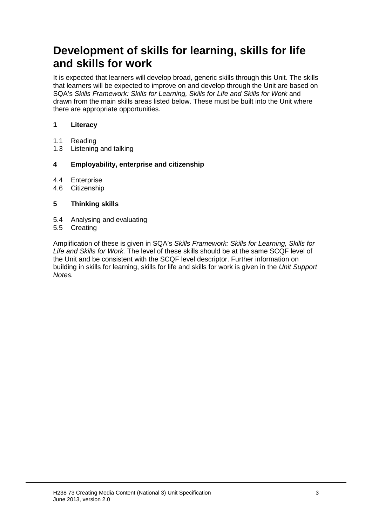## **Development of skills for learning, skills for life and skills for work**

It is expected that learners will develop broad, generic skills through this Unit. The skills that learners will be expected to improve on and develop through the Unit are based on SQA's *Skills Framework: Skills for Learning, Skills for Life and Skills for Work* and drawn from the main skills areas listed below. These must be built into the Unit where there are appropriate opportunities.

#### **1 Literacy**

- 1.1 Reading<br>1.3 Listening
- Listening and talking

#### **4 Employability, enterprise and citizenship**

- 4.4 Enterprise
- 4.6 Citizenship

#### **5 Thinking skills**

- 5.4 Analysing and evaluating
- 5.5 Creating

Amplification of these is given in SQA's *Skills Framework: Skills for Learning, Skills for Life and Skills for Work.* The level of these skills should be at the same SCQF level of the Unit and be consistent with the SCQF level descriptor. Further information on building in skills for learning, skills for life and skills for work is given in the *Unit Support Notes.*